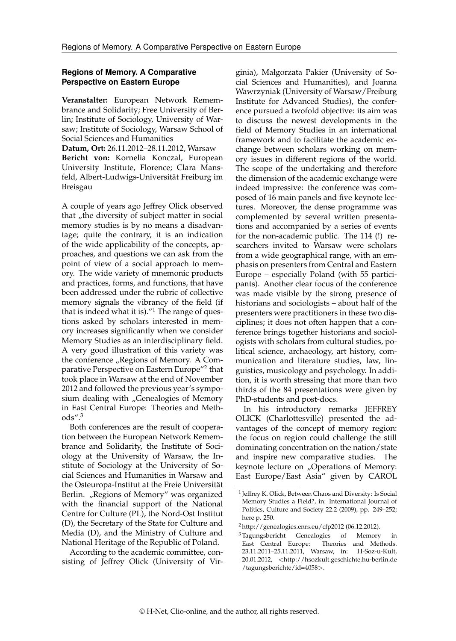## **Regions of Memory. A Comparative Perspective on Eastern Europe**

**Veranstalter:** European Network Remembrance and Solidarity; Free University of Berlin; Institute of Sociology, University of Warsaw; Institute of Sociology, Warsaw School of Social Sciences and Humanities

**Datum, Ort:** 26.11.2012–28.11.2012, Warsaw **Bericht von:** Kornelia Konczal, European University Institute, Florence; Clara Mansfeld, Albert-Ludwigs-Universität Freiburg im Breisgau

A couple of years ago Jeffrey Olick observed that "the diversity of subject matter in social memory studies is by no means a disadvantage; quite the contrary, it is an indication of the wide applicability of the concepts, approaches, and questions we can ask from the point of view of a social approach to memory. The wide variety of mnemonic products and practices, forms, and functions, that have been addressed under the rubric of collective memory signals the vibrancy of the field (if that is indeed what it is)."[1](#page-0-0) The range of questions asked by scholars interested in memory increases significantly when we consider Memory Studies as an interdisciplinary field. A very good illustration of this variety was the conference "Regions of Memory. A Com-parative Perspective on Eastern Europe"<sup>[2](#page-0-1)</sup> that took place in Warsaw at the end of November 2012 and followed the previous year's symposium dealing with "Genealogies of Memory in East Central Europe: Theories and Methods".[3](#page-0-2)

Both conferences are the result of cooperation between the European Network Remembrance and Solidarity, the Institute of Sociology at the University of Warsaw, the Institute of Sociology at the University of Social Sciences and Humanities in Warsaw and the Osteuropa-Institut at the Freie Universität Berlin. "Regions of Memory" was organized with the financial support of the National Centre for Culture (PL), the Nord-Ost Institut (D), the Secretary of the State for Culture and Media (D), and the Ministry of Culture and National Heritage of the Republic of Poland.

According to the academic committee, consisting of Jeffrey Olick (University of Virginia), Małgorzata Pakier (University of Social Sciences and Humanities), and Joanna Wawrzyniak (University of Warsaw/Freiburg Institute for Advanced Studies), the conference pursued a twofold objective: its aim was to discuss the newest developments in the field of Memory Studies in an international framework and to facilitate the academic exchange between scholars working on memory issues in different regions of the world. The scope of the undertaking and therefore the dimension of the academic exchange were indeed impressive: the conference was composed of 16 main panels and five keynote lectures. Moreover, the dense programme was complemented by several written presentations and accompanied by a series of events for the non-academic public. The 114 (!) researchers invited to Warsaw were scholars from a wide geographical range, with an emphasis on presenters from Central and Eastern Europe – especially Poland (with 55 participants). Another clear focus of the conference was made visible by the strong presence of historians and sociologists – about half of the presenters were practitioners in these two disciplines; it does not often happen that a conference brings together historians and sociologists with scholars from cultural studies, political science, archaeology, art history, communication and literature studies, law, linguistics, musicology and psychology. In addition, it is worth stressing that more than two thirds of the 84 presentations were given by PhD-students and post-docs.

In his introductory remarks JEFFREY OLICK (Charlottesville) presented the advantages of the concept of memory region: the focus on region could challenge the still dominating concentration on the nation/state and inspire new comparative studies. The keynote lecture on "Operations of Memory: East Europe/East Asia" given by CAROL

<span id="page-0-0"></span><sup>1</sup> Jeffrey K. Olick, Between Chaos and Diversity: Is Social Memory Studies a Field?, in: International Journal of Politics, Culture and Society 22.2 (2009), pp. 249–252; here p. 250.

<span id="page-0-1"></span> $2$  <http://genealogies.enrs.eu/cfp2012> (06.12.2012).

<span id="page-0-2"></span><sup>&</sup>lt;sup>3</sup> Tagungsbericht Genealogies of Memory in East Central Europe: Theories and Methods. Theories and Methods. 23.11.2011–25.11.2011, Warsaw, in: H-Soz-u-Kult, 20.01.2012, <[http://hsozkult.geschichte.hu-berlin.de](http://hsozkult.geschichte.hu-berlin.de/tagungsberichte/id=4058) [/tagungsberichte/id=4058](http://hsozkult.geschichte.hu-berlin.de/tagungsberichte/id=4058)>.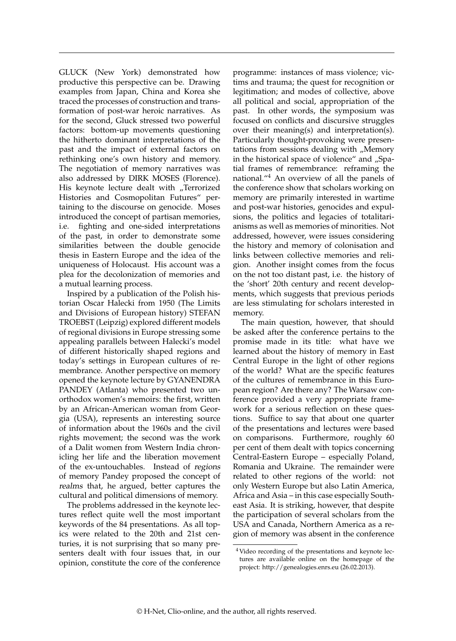GLUCK (New York) demonstrated how productive this perspective can be. Drawing examples from Japan, China and Korea she traced the processes of construction and transformation of post-war heroic narratives. As for the second, Gluck stressed two powerful factors: bottom-up movements questioning the hitherto dominant interpretations of the past and the impact of external factors on rethinking one's own history and memory. The negotiation of memory narratives was also addressed by DIRK MOSES (Florence). His keynote lecture dealt with "Terrorized Histories and Cosmopolitan Futures" pertaining to the discourse on genocide. Moses introduced the concept of partisan memories, i.e. fighting and one-sided interpretations of the past, in order to demonstrate some similarities between the double genocide thesis in Eastern Europe and the idea of the uniqueness of Holocaust. His account was a plea for the decolonization of memories and a mutual learning process.

Inspired by a publication of the Polish historian Oscar Halecki from 1950 (The Limits and Divisions of European history) STEFAN TROEBST (Leipzig) explored different models of regional divisions in Europe stressing some appealing parallels between Halecki's model of different historically shaped regions and today's settings in European cultures of remembrance. Another perspective on memory opened the keynote lecture by GYANENDRA PANDEY (Atlanta) who presented two unorthodox women's memoirs: the first, written by an African-American woman from Georgia (USA), represents an interesting source of information about the 1960s and the civil rights movement; the second was the work of a Dalit women from Western India chronicling her life and the liberation movement of the ex-untouchables. Instead of regions of memory Pandey proposed the concept of realms that, he argued, better captures the cultural and political dimensions of memory.

The problems addressed in the keynote lectures reflect quite well the most important keywords of the 84 presentations. As all topics were related to the 20th and 21st centuries, it is not surprising that so many presenters dealt with four issues that, in our opinion, constitute the core of the conference programme: instances of mass violence; victims and trauma; the quest for recognition or legitimation; and modes of collective, above all political and social, appropriation of the past. In other words, the symposium was focused on conflicts and discursive struggles over their meaning(s) and interpretation(s). Particularly thought-provoking were presentations from sessions dealing with "Memory in the historical space of violence" and "Spatial frames of remembrance: reframing the national."[4](#page-1-0) An overview of all the panels of the conference show that scholars working on memory are primarily interested in wartime and post-war histories, genocides and expulsions, the politics and legacies of totalitarianisms as well as memories of minorities. Not addressed, however, were issues considering the history and memory of colonisation and links between collective memories and religion. Another insight comes from the focus on the not too distant past, i.e. the history of the 'short' 20th century and recent developments, which suggests that previous periods are less stimulating for scholars interested in memory.

The main question, however, that should be asked after the conference pertains to the promise made in its title: what have we learned about the history of memory in East Central Europe in the light of other regions of the world? What are the specific features of the cultures of remembrance in this European region? Are there any? The Warsaw conference provided a very appropriate framework for a serious reflection on these questions. Suffice to say that about one quarter of the presentations and lectures were based on comparisons. Furthermore, roughly 60 per cent of them dealt with topics concerning Central-Eastern Europe – especially Poland, Romania and Ukraine. The remainder were related to other regions of the world: not only Western Europe but also Latin America, Africa and Asia – in this case especially Southeast Asia. It is striking, however, that despite the participation of several scholars from the USA and Canada, Northern America as a region of memory was absent in the conference

<span id="page-1-0"></span><sup>4</sup> Video recording of the presentations and keynote lectures are available online on the homepage of the project: [http://genealogies.enrs.eu](http://genealogies.enrs.eu/) (26.02.2013).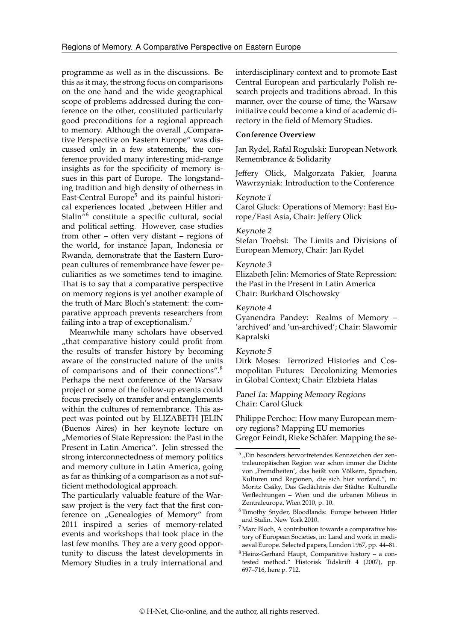programme as well as in the discussions. Be this as it may, the strong focus on comparisons on the one hand and the wide geographical scope of problems addressed during the conference on the other, constituted particularly good preconditions for a regional approach to memory. Although the overall "Comparative Perspective on Eastern Europe" was discussed only in a few statements, the conference provided many interesting mid-range insights as for the specificity of memory issues in this part of Europe. The longstanding tradition and high density of otherness in East-Central Europe<sup>[5](#page-2-0)</sup> and its painful historical experiences located "between Hitler and Stalin<sup>"[6](#page-2-1)</sup> constitute a specific cultural, social and political setting. However, case studies from other – often very distant – regions of the world, for instance Japan, Indonesia or Rwanda, demonstrate that the Eastern European cultures of remembrance have fewer peculiarities as we sometimes tend to imagine. That is to say that a comparative perspective on memory regions is yet another example of the truth of Marc Bloch's statement: the comparative approach prevents researchers from failing into a trap of exceptionalism.[7](#page-2-2)

Meanwhile many scholars have observed "that comparative history could profit from the results of transfer history by becoming aware of the constructed nature of the units of comparisons and of their connections".[8](#page-2-3) Perhaps the next conference of the Warsaw project or some of the follow-up events could focus precisely on transfer and entanglements within the cultures of remembrance. This aspect was pointed out by ELIZABETH JELIN (Buenos Aires) in her keynote lecture on "Memories of State Repression: the Past in the Present in Latin America". Jelin stressed the strong interconnectedness of memory politics and memory culture in Latin America, going as far as thinking of a comparison as a not sufficient methodological approach.

The particularly valuable feature of the Warsaw project is the very fact that the first conference on "Genealogies of Memory" from 2011 inspired a series of memory-related events and workshops that took place in the last few months. They are a very good opportunity to discuss the latest developments in Memory Studies in a truly international and interdisciplinary context and to promote East Central European and particularly Polish research projects and traditions abroad. In this manner, over the course of time, the Warsaw initiative could become a kind of academic directory in the field of Memory Studies.

#### **Conference Overview**

Jan Rydel, Rafal Rogulski: European Network Remembrance & Solidarity

Jeffery Olick, Malgorzata Pakier, Joanna Wawrzyniak: Introduction to the Conference

### Keynote 1

Carol Gluck: Operations of Memory: East Europe/East Asia, Chair: Jeffery Olick

#### Keynote 2

Stefan Troebst: The Limits and Divisions of European Memory, Chair: Jan Rydel

#### Keynote 3

Elizabeth Jelin: Memories of State Repression: the Past in the Present in Latin America Chair: Burkhard Olschowsky

#### Keynote 4

Gyanendra Pandey: Realms of Memory – 'archived' and 'un-archived'; Chair: Slawomir Kapralski

# Keynote 5

Dirk Moses: Terrorized Histories and Cosmopolitan Futures: Decolonizing Memories in Global Context; Chair: Elzbieta Halas

## Panel 1a: Mapping Memory Regions Chair: Carol Gluck

Philippe Perchoc: How many European memory regions? Mapping EU memories Gregor Feindt, Rieke Schäfer: Mapping the se-

<span id="page-2-0"></span> $5$  "Ein besonders hervortretendes Kennzeichen der zentraleuropäischen Region war schon immer die Dichte von ,Fremdheiten', das heißt von Völkern, Sprachen, Kulturen und Regionen, die sich hier vorfand.", in: Moritz Csáky, Das Gedächtnis der Städte: Kulturelle Verflechtungen – Wien und die urbanen Milieus in Zentraleuropa, Wien 2010, p. 10.

<span id="page-2-1"></span><sup>6</sup> Timothy Snyder, Bloodlands: Europe between Hitler and Stalin. New York 2010.

<span id="page-2-2"></span><sup>7</sup> Marc Bloch, A contribution towards a comparative history of European Societies, in: Land and work in mediaeval Europe. Selected papers, London 1967, pp. 44–81.

<span id="page-2-3"></span> $8$  Heinz-Gerhard Haupt, Comparative history – a contested method." Historisk Tidskrift 4 (2007), pp. 697–716, here p. 712.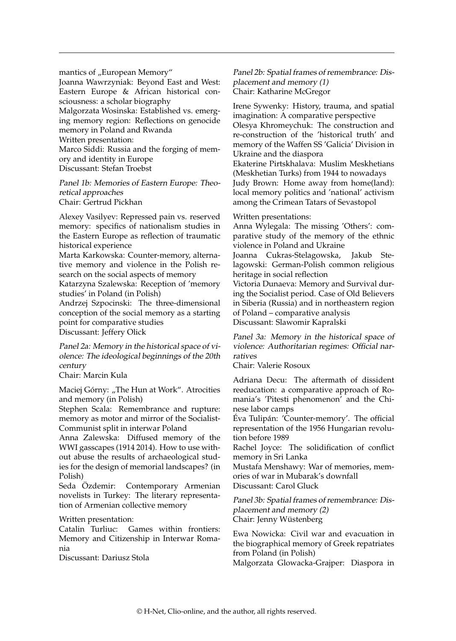mantics of "European Memory" Joanna Wawrzyniak: Beyond East and West: Eastern Europe & African historical consciousness: a scholar biography Malgorzata Wosinska: Established vs. emerging memory region: Reflections on genocide memory in Poland and Rwanda Written presentation: Marco Siddi: Russia and the forging of memory and identity in Europe Discussant: Stefan Troebst

Panel 1b: Memories of Eastern Europe: Theoretical approaches Chair: Gertrud Pickhan

Alexey Vasilyev: Repressed pain vs. reserved memory: specifics of nationalism studies in the Eastern Europe as reflection of traumatic historical experience

Marta Karkowska: Counter-memory, alternative memory and violence in the Polish research on the social aspects of memory

Katarzyna Szalewska: Reception of 'memory studies' in Poland (in Polish)

Andrzej Szpocinski: The three-dimensional conception of the social memory as a starting point for comparative studies Discussant: Jeffery Olick

Panel 2a: Memory in the historical space of violence: The ideological beginnings of the 20th century

Chair: Marcin Kula

Maciej Górny: "The Hun at Work". Atrocities and memory (in Polish)

Stephen Scala: Remembrance and rupture: memory as motor and mirror of the Socialist-Communist split in interwar Poland

Anna Zalewska: Diffused memory of the WWI gasscapes (1914 2014). How to use without abuse the results of archaeological studies for the design of memorial landscapes? (in Polish)

Seda Özdemir: Contemporary Armenian novelists in Turkey: The literary representation of Armenian collective memory

Written presentation:

Catalin Turliuc: Games within frontiers: Memory and Citizenship in Interwar Romania

Discussant: Dariusz Stola

Panel 2b: Spatial frames of remembrance: Displacement and memory (1) Chair: Katharine McGregor

Irene Sywenky: History, trauma, and spatial imagination: A comparative perspective Olesya Khromeychuk: The construction and re-construction of the 'historical truth' and memory of the Waffen SS 'Galicia' Division in

Ukraine and the diaspora

Ekaterine Pirtskhalava: Muslim Meskhetians (Meskhetian Turks) from 1944 to nowadays

Judy Brown: Home away from home(land): local memory politics and 'national' activism among the Crimean Tatars of Sevastopol

Written presentations:

Anna Wylegala: The missing 'Others': comparative study of the memory of the ethnic violence in Poland and Ukraine

Joanna Cukras-Stelagowska, Jakub Stelagowski: German-Polish common religious heritage in social reflection

Victoria Dunaeva: Memory and Survival during the Socialist period. Case of Old Believers in Siberia (Russia) and in northeastern region of Poland – comparative analysis Discussant: Slawomir Kapralski

Panel 3a: Memory in the historical space of violence: Authoritarian regimes: Official narratives

Chair: Valerie Rosoux

Adriana Decu: The aftermath of dissident reeducation: a comparative approach of Romania's 'Pitesti phenomenon' and the Chinese labor camps

Éva Tulipán: 'Counter-memory'. The official representation of the 1956 Hungarian revolution before 1989

Rachel Joyce: The solidification of conflict memory in Sri Lanka

Mustafa Menshawy: War of memories, memories of war in Mubarak's downfall

Discussant: Carol Gluck

Panel 3b: Spatial frames of remembrance: Displacement and memory (2) Chair: Jenny Wüstenberg

Ewa Nowicka: Civil war and evacuation in the biographical memory of Greek repatriates from Poland (in Polish)

Malgorzata Glowacka-Grajper: Diaspora in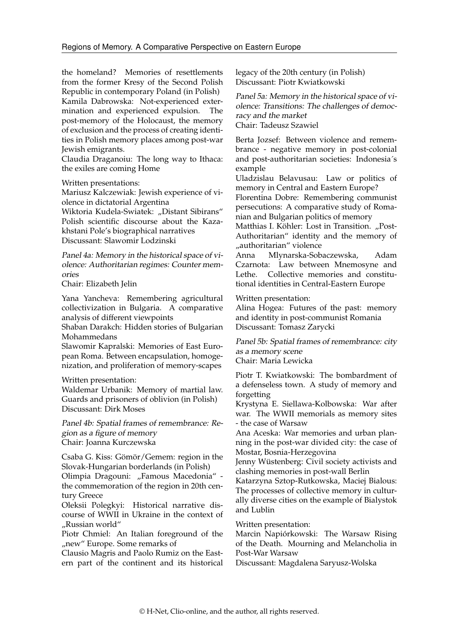the homeland? Memories of resettlements from the former Kresy of the Second Polish Republic in contemporary Poland (in Polish) Kamila Dabrowska: Not-experienced extermination and experienced expulsion. The post-memory of the Holocaust, the memory of exclusion and the process of creating identities in Polish memory places among post-war Jewish emigrants.

Claudia Draganoiu: The long way to Ithaca: the exiles are coming Home

Written presentations:

Mariusz Kalczewiak: Jewish experience of violence in dictatorial Argentina

Wiktoria Kudela-Swiatek: "Distant Sibirans" Polish scientific discourse about the Kazakhstani Pole's biographical narratives Discussant: Slawomir Lodzinski

Panel 4a: Memory in the historical space of violence: Authoritarian regimes: Counter memories

Chair: Elizabeth Jelin

Yana Yancheva: Remembering agricultural collectivization in Bulgaria. A comparative analysis of different viewpoints

Shaban Darakch: Hidden stories of Bulgarian Mohammedans

Slawomir Kapralski: Memories of East European Roma. Between encapsulation, homogenization, and proliferation of memory-scapes

Written presentation:

Waldemar Urbanik: Memory of martial law. Guards and prisoners of oblivion (in Polish) Discussant: Dirk Moses

Panel 4b: Spatial frames of remembrance: Region as a figure of memory Chair: Joanna Kurczewska

Csaba G. Kiss: Gömör/Gemem: region in the Slovak-Hungarian borderlands (in Polish)

Olimpia Dragouni: "Famous Macedonia" the commemoration of the region in 20th century Greece

Oleksii Polegkyi: Historical narrative discourse of WWII in Ukraine in the context of "Russian world"

Piotr Chmiel: An Italian foreground of the "new" Europe. Some remarks of

Clausio Magris and Paolo Rumiz on the Eastern part of the continent and its historical legacy of the 20th century (in Polish) Discussant: Piotr Kwiatkowski

Panel 5a: Memory in the historical space of violence: Transitions: The challenges of democracy and the market Chair: Tadeusz Szawiel

Berta Jozsef: Between violence and remembrance - negative memory in post-colonial and post-authoritarian societies: Indonesia´s example

Uladzislau Belavusau: Law or politics of memory in Central and Eastern Europe?

Florentina Dobre: Remembering communist persecutions: A comparative study of Romanian and Bulgarian politics of memory

Matthias I. Köhler: Lost in Transition. "Post-Authoritarian" identity and the memory of "authoritarian" violence<br>Anna Mlynarska-Sob

Mlynarska-Sobaczewska, Adam Czarnota: Law between Mnemosyne and Lethe. Collective memories and constitutional identities in Central-Eastern Europe

Written presentation:

Alina Hogea: Futures of the past: memory and identity in post-communist Romania Discussant: Tomasz Zarycki

Panel 5b: Spatial frames of remembrance: city as a memory scene Chair: Maria Lewicka

Piotr T. Kwiatkowski: The bombardment of a defenseless town. A study of memory and forgetting

Krystyna E. Siellawa-Kolbowska: War after war. The WWII memorials as memory sites - the case of Warsaw

Ana Aceska: War memories and urban planning in the post-war divided city: the case of Mostar, Bosnia-Herzegovina

Jenny Wüstenberg: Civil society activists and clashing memories in post-wall Berlin

Katarzyna Sztop-Rutkowska, Maciej Bialous: The processes of collective memory in culturally diverse cities on the example of Bialystok and Lublin

Written presentation:

Marcin Napiórkowski: The Warsaw Rising of the Death. Mourning and Melancholia in Post-War Warsaw

Discussant: Magdalena Saryusz-Wolska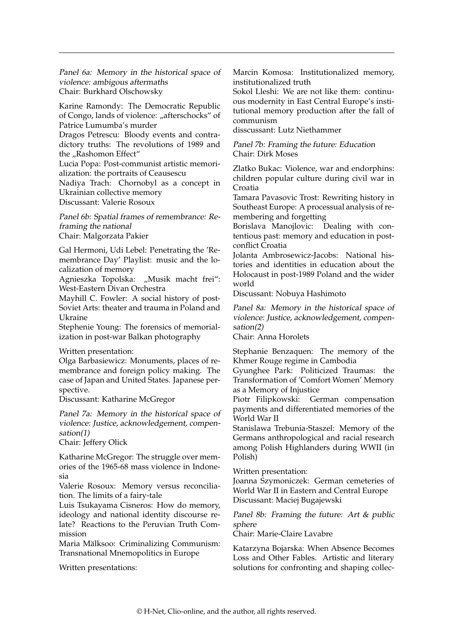Panel 6a: Memory in the historical space of violence: ambigous aftermaths Chair: Burkhard Olschowsky

Karine Ramondy: The Democratic Republic of Congo, lands of violence: "afterschocks" of Patrice Lumumba's murder

Dragos Petrescu: Bloody events and contradictory truths: The revolutions of 1989 and the "Rashomon Effect"

Lucia Popa: Post-communist artistic memorialization: the portraits of Ceausescu

Nadiya Trach: Chornobyl as a concept in Ukrainian collective memory

Discussant: Valerie Rosoux

Panel 6b: Spatial frames of remembrance: Reframing the national

Chair: Malgorzata Pakier

Gal Hermoni, Udi Lebel: Penetrating the 'Remembrance Day' Playlist: music and the localization of memory

Agnieszka Topolska: "Musik macht frei": West-Eastern Divan Orchestra

Mayhill C. Fowler: A social history of post-Soviet Arts: theater and trauma in Poland and Ukraine

Stephenie Young: The forensics of memorialization in post-war Balkan photography

Written presentation:

Olga Barbasiewicz: Monuments, places of remembrance and foreign policy making. The case of Japan and United States. Japanese perspective.

Discussant: Katharine McGregor

Panel 7a: Memory in the historical space of violence: Justice, acknowledgement, compensation(1)

Chair: Jeffery Olick

Katharine McGregor: The struggle over memories of the 1965-68 mass violence in Indonesia

Valerie Rosoux: Memory versus reconciliation. The limits of a fairy-tale

Luis Tsukayama Cisneros: How do memory, ideology and national identity discourse relate? Reactions to the Peruvian Truth Commission

Maria Mälksoo: Criminalizing Communism: Transnational Mnemopolitics in Europe

Written presentations:

Marcin Komosa: Institutionalized memory, institutionalized truth

Sokol Lleshi: We are not like them: continuous modernity in East Central Europe's institutional memory production after the fall of communism

disscussant: Lutz Niethammer

Panel 7b: Framing the future: Education Chair: Dirk Moses

Zlatko Bukac: Violence, war and endorphins: children popular culture during civil war in Croatia

Tamara Pavasovic Trost: Rewriting history in Southeast Europe: A processual analysis of remembering and forgetting

Borislava Manojlovic: Dealing with contentious past: memory and education in postconflict Croatia

Jolanta Ambrosewicz-Jacobs: National histories and identities in education about the Holocaust in post-1989 Poland and the wider world

Discussant: Nobuya Hashimoto

Panel 8a: Memory in the historical space of violence: Justice, acknowledgement, compensation(2)

Chair: Anna Horolets

Stephanie Benzaquen: The memory of the Khmer Rouge regime in Cambodia

Gyunghee Park: Politicized Traumas: the Transformation of 'Comfort Women' Memory as a Memory of Injustice

Piotr Filipkowski: German compensation payments and differentiated memories of the World War II

Stanislawa Trebunia-Staszel: Memory of the Germans anthropological and racial research among Polish Highlanders during WWII (in Polish)

Written presentation:

Joanna Szymoniczek: German cemeteries of World War II in Eastern and Central Europe Discussant: Maciej Bugajewski

Panel 8b: Framing the future: Art & public sphere

Chair: Marie-Claire Lavabre

Katarzyna Bojarska: When Absence Becomes Loss and Other Fables. Artistic and literary solutions for confronting and shaping collec